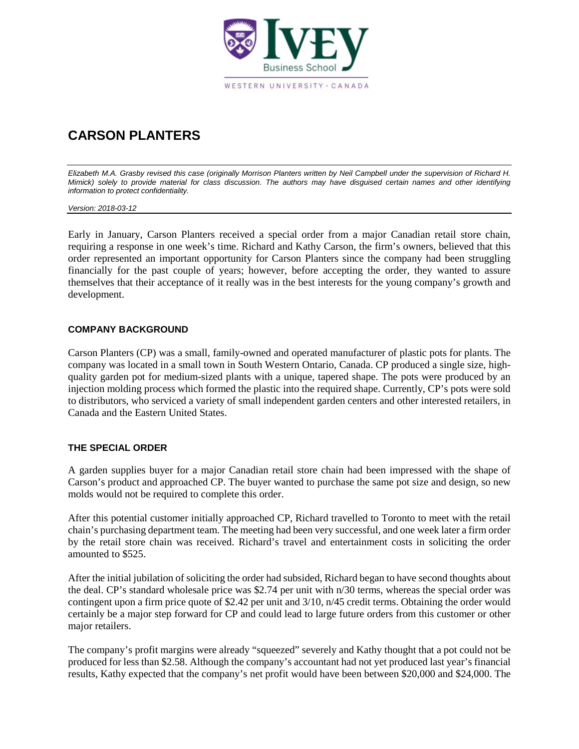

# **CARSON PLANTERS**

*Elizabeth M.A. Grasby revised this case (originally Morrison Planters written by Neil Campbell under the supervision of Richard H. Mimick) solely to provide material for class discussion. The authors may have disguised certain names and other identifying information to protect confidentiality.*

*Version: 2018-03-12*

Early in January, Carson Planters received a special order from a major Canadian retail store chain, requiring a response in one week's time. Richard and Kathy Carson, the firm's owners, believed that this order represented an important opportunity for Carson Planters since the company had been struggling financially for the past couple of years; however, before accepting the order, they wanted to assure themselves that their acceptance of it really was in the best interests for the young company's growth and development.

#### **COMPANY BACKGROUND**

Carson Planters (CP) was a small, family-owned and operated manufacturer of plastic pots for plants. The company was located in a small town in South Western Ontario, Canada. CP produced a single size, highquality garden pot for medium-sized plants with a unique, tapered shape. The pots were produced by an injection molding process which formed the plastic into the required shape. Currently, CP's pots were sold to distributors, who serviced a variety of small independent garden centers and other interested retailers, in Canada and the Eastern United States.

### **THE SPECIAL ORDER**

A garden supplies buyer for a major Canadian retail store chain had been impressed with the shape of Carson's product and approached CP. The buyer wanted to purchase the same pot size and design, so new molds would not be required to complete this order.

After this potential customer initially approached CP, Richard travelled to Toronto to meet with the retail chain's purchasing department team. The meeting had been very successful, and one week later a firm order by the retail store chain was received. Richard's travel and entertainment costs in soliciting the order amounted to \$525.

After the initial jubilation of soliciting the order had subsided, Richard began to have second thoughts about the deal. CP's standard wholesale price was \$2.74 per unit with n/30 terms, whereas the special order was contingent upon a firm price quote of \$2.42 per unit and 3/10, n/45 credit terms. Obtaining the order would certainly be a major step forward for CP and could lead to large future orders from this customer or other major retailers.

The company's profit margins were already "squeezed" severely and Kathy thought that a pot could not be produced for less than \$2.58. Although the company's accountant had not yet produced last year's financial results, Kathy expected that the company's net profit would have been between \$20,000 and \$24,000. The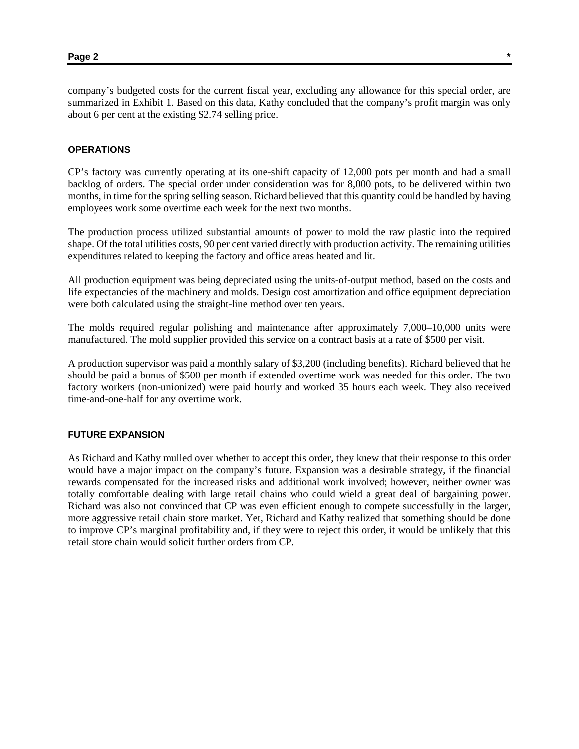company's budgeted costs for the current fiscal year, excluding any allowance for this special order, are summarized in Exhibit 1. Based on this data, Kathy concluded that the company's profit margin was only about 6 per cent at the existing \$2.74 selling price.

#### **OPERATIONS**

CP's factory was currently operating at its one-shift capacity of 12,000 pots per month and had a small backlog of orders. The special order under consideration was for 8,000 pots, to be delivered within two months, in time for the spring selling season. Richard believed that this quantity could be handled by having employees work some overtime each week for the next two months.

The production process utilized substantial amounts of power to mold the raw plastic into the required shape. Of the total utilities costs, 90 per cent varied directly with production activity. The remaining utilities expenditures related to keeping the factory and office areas heated and lit.

All production equipment was being depreciated using the units-of-output method, based on the costs and life expectancies of the machinery and molds. Design cost amortization and office equipment depreciation were both calculated using the straight-line method over ten years.

The molds required regular polishing and maintenance after approximately 7,000–10,000 units were manufactured. The mold supplier provided this service on a contract basis at a rate of \$500 per visit.

A production supervisor was paid a monthly salary of \$3,200 (including benefits). Richard believed that he should be paid a bonus of \$500 per month if extended overtime work was needed for this order. The two factory workers (non-unionized) were paid hourly and worked 35 hours each week. They also received time-and-one-half for any overtime work.

#### **FUTURE EXPANSION**

As Richard and Kathy mulled over whether to accept this order, they knew that their response to this order would have a major impact on the company's future. Expansion was a desirable strategy, if the financial rewards compensated for the increased risks and additional work involved; however, neither owner was totally comfortable dealing with large retail chains who could wield a great deal of bargaining power. Richard was also not convinced that CP was even efficient enough to compete successfully in the larger, more aggressive retail chain store market. Yet, Richard and Kathy realized that something should be done to improve CP's marginal profitability and, if they were to reject this order, it would be unlikely that this retail store chain would solicit further orders from CP.